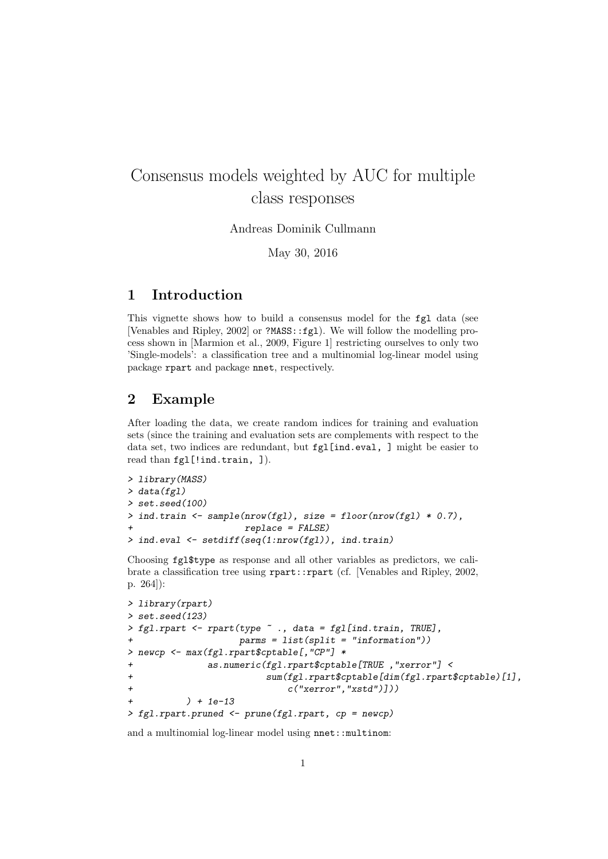# Consensus models weighted by AUC for multiple class responses

Andreas Dominik Cullmann

May 30, 2016

#### 1 Introduction

This vignette shows how to build a consensus model for the fgl data (see [Venables and Ripley, 2002] or ?MASS::fgl). We will follow the modelling process shown in [Marmion et al., 2009, Figure 1] restricting ourselves to only two 'Single-models': a classification tree and a multinomial log-linear model using package rpart and package nnet, respectively.

### 2 Example

After loading the data, we create random indices for training and evaluation sets (since the training and evaluation sets are complements with respect to the data set, two indices are redundant, but fgl[ind.eval, ] might be easier to read than fgl[!ind.train, ]).

```
> library(MASS)
> data(fgl)
> set.seed(100)
> ind.train \leq sample(nrow(fgl), size = floor(nrow(fgl) * 0.7),
+ replace = FALSE)
> ind.eval <- setdiff(seq(1:nrow(fgl)), ind.train)
```
Choosing fgl\$type as response and all other variables as predictors, we calibrate a classification tree using rpart::rpart (cf. [Venables and Ripley, 2002, p. 264]):

```
> library(rpart)
> set.seed(123)
> fgl.rpart <- rpart(type ~ ., data = fgl[ind.train, TRUE],
                 params = list(split = "information")> newcp <- max(fgl.rpart$cptable[,"CP"] *
+ as.numeric(fgl.rpart$cptable[TRUE ,"xerror"] <
+ sum(fgl.rpart$cptable[dim(fgl.rpart$cptable)[1],
+ c("xerror","xstd")]))
+ ) + 1e-13
> fgl.rpart.pruned <- prune(fgl.rpart, cp = newcp)
```
and a multinomial log-linear model using nnet::multinom: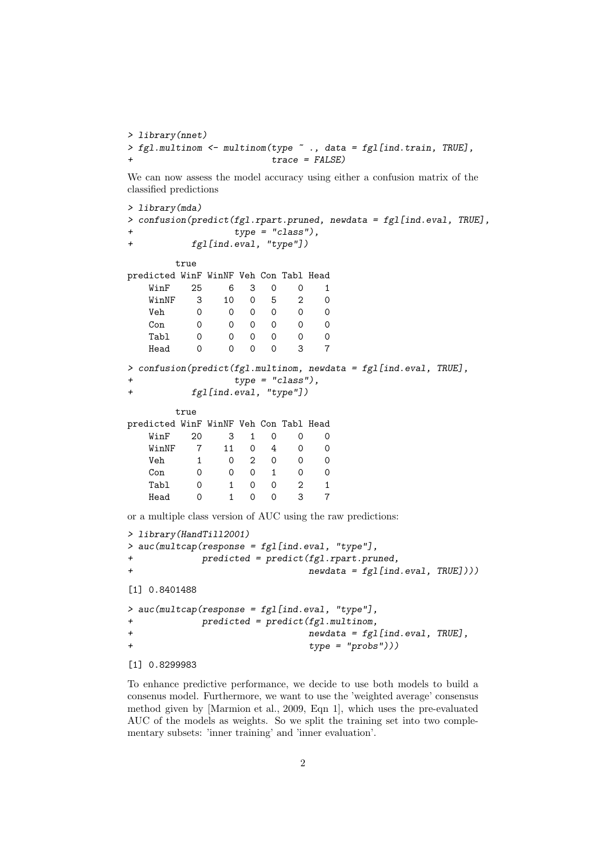```
> library(nnet)
> fgl.multinom <- multinom(type ~ ., data = fgl[ind.train, TRUE],
                           trace = FALSE)
```
We can now assess the model accuracy using either a confusion matrix of the classified predictions

```
> library(mda)
> confusion(predict(fgl.rpart.pruned, newdata = fgl[ind.eval, TRUE],
+ type = "class"),
+ fgl[ind.eval, "type"])
      true
predicted WinF WinNF Veh Con Tabl Head
  WinF 25 6 3 0 0 1<br>WinNF 3 10 0 5 2 0
  WinNF 3 10 0 5 2 0
  Veh 0 0 0 0 0 0
  Con 0 0 0 0 0 0
  Tabl 0 0 0 0 0 0
  Head 0 0 0 0 3 7
> confusion(predict(fgl.multinom, newdata = fgl[ind.eval, TRUE],
+ type = "class"),
+ fgl[ind.eval, "type"])
      true
predicted WinF WinNF Veh Con Tabl Head
   WinF 20 3 1 0 0 0
  WinNF 7 11 0 4 0 0
  Veh 1 0 2 0 0 0
  Con 0 0 0 1 0 0
   Tabl 0 1 0 0 2 1
  Head 0 1 0 0 3 7
or a multiple class version of AUC using the raw predictions:
> library(HandTill2001)
> auc(multcap(response = fgl[ind.eval, "type"],
+ predicted = predict(fgl.rpart.pruned,
+ newdata = fgl[ind.eval, TRUE])))
[1] 0.8401488
> auc(multcap(response = fgl[ind.eval, "type"],
+ predicted = predict(fgl.multinom,
+ newdata = fgl[ind.eval, TRUE],
+ type = "probs")))
[1] 0.8299983
```
To enhance predictive performance, we decide to use both models to build a consenus model. Furthermore, we want to use the 'weighted average' consensus method given by [Marmion et al., 2009, Eqn 1], which uses the pre-evaluated AUC of the models as weights. So we split the training set into two complementary subsets: 'inner training' and 'inner evaluation'.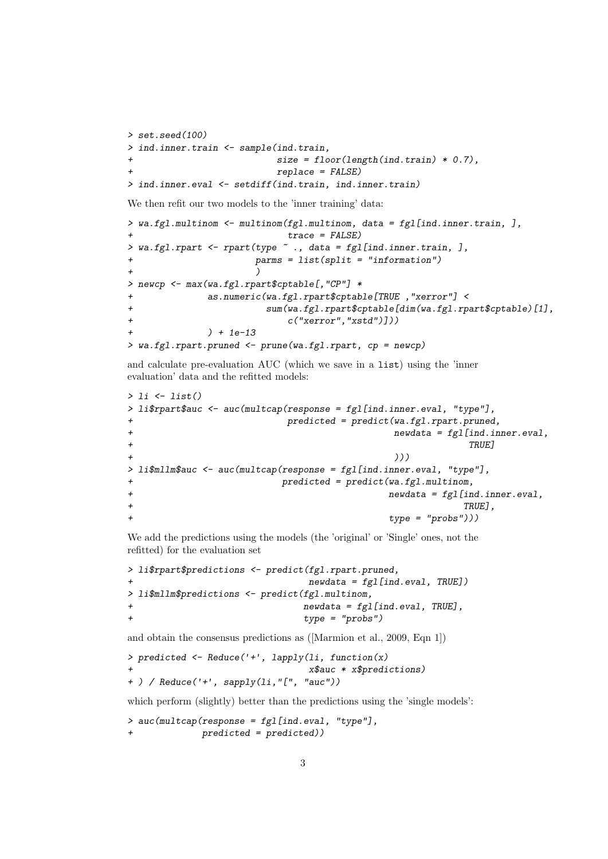```
> set.seed(100)
> ind.inner.train <- sample(ind.train,
                            size = floor(length(int.train) * 0.7),
                            replace = FALSE)> ind.inner.eval <- setdiff(ind.train, ind.inner.train)
```
We then refit our two models to the 'inner training' data:

```
> wa.fgl.multinom \leq multinom(fgl.multinom, data = fgl[ind.inner.train, ],
                         trace = FALSE)> wa.fgl.rpart <- rpart(type ~ ., data = fgl[ind.inner.train, ],
                    params = list(split = "information")+ )
> newcp <- max(wa.fgl.rpart$cptable[,"CP"] *
            as.numeric(wa.fgl.rpart$cptable[TRUE , "xerror"] <
+ sum(wa.fgl.rpart$cptable[dim(wa.fgl.rpart$cptable)[1],
+ c("xerror","xstd")]))
+ ) + 1e-13
> wa.fgl.rpart.pruned <- prune(wa.fgl.rpart, cp = newcp)
```
and calculate pre-evaluation AUC (which we save in a list) using the 'inner evaluation' data and the refitted models:

```
> li \leftarrow list()> li$rpart$auc <- auc(multcap(response = fgl[ind.inner.eval, "type"],
                predicted = predict(wa.fgl.rpart.pruned,newdata = fg1[ind.inner.eval,+ TRUE]
+ )))
> li$mllm$auc <- auc(multcap(response = fgl[ind.inner.eval, "type"],
+ predicted = predict(wa.fgl.multinom,
+ newdata = fgl[ind.inner.eval,
+ TRUE],
+ type = "probs")))
```
We add the predictions using the models (the 'original' or 'Single' ones, not the refitted) for the evaluation set

```
> li$rpart$predictions <- predict(fgl.rpart.pruned,
                                  newdata = fg1[ind.eval, TRUE])> li$mllm$predictions <- predict(fgl.multinom,
                                 newdata = fg1[ind.eval, TRUE],
                                 type = "probs")
```
and obtain the consensus predictions as ([Marmion et al., 2009, Eqn 1])

```
> predicted <- Reduce('+', lapply(li, function(x)
                                  + x$auc * x$predictions)
+ ) / Reduce('+', sapply(li,"[", "auc"))
```
which perform (slightly) better than the predictions using the 'single models':

```
> auc(multcap(response = fgl[ind.eval, "type"],
              predicted = predicted))
```